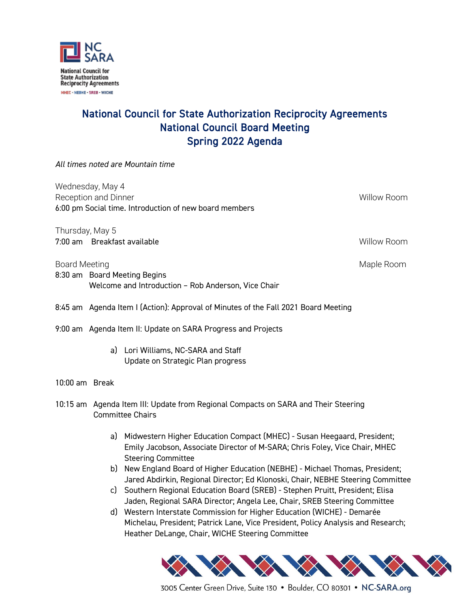

## National Council for State Authorization Reciprocity Agreements National Council Board Meeting Spring 2022 Agenda

*All times noted are Mountain time*

Wednesday, May 4 Reception and Dinner Willow Room and Dinner Willow Room and Dinner Willow Room and Dinner Willow Room 6:00 pm Social time. Introduction of new board members

Thursday, May 5 7:00 am Breakfast available Willow Room

Board Meeting Maple Room and the Board Maple Room and the Maple Room and Maple Room and Maple Room 8:30 am Board Meeting Begins Welcome and Introduction – Rob Anderson, Vice Chair

8:45 am Agenda Item I (Action): Approval of Minutes of the Fall 2021 Board Meeting

9:00 am Agenda Item II: Update on SARA Progress and Projects

a) Lori Williams, NC-SARA and Staff Update on Strategic Plan progress

10:00 am Break

- 10:15 am Agenda Item III: Update from Regional Compacts on SARA and Their Steering Committee Chairs
	- a) Midwestern Higher Education Compact (MHEC) Susan Heegaard, President; Emily Jacobson, Associate Director of M-SARA; Chris Foley, Vice Chair, MHEC Steering Committee
	- b) New England Board of Higher Education (NEBHE) Michael Thomas, President; Jared Abdirkin, Regional Director; Ed Klonoski, Chair, NEBHE Steering Committee
	- c) Southern Regional Education Board (SREB) Stephen Pruitt, President; Elisa Jaden, Regional SARA Director; Angela Lee, Chair, SREB Steering Committee
	- d) Western Interstate Commission for Higher Education (WICHE) Demarée Michelau, President; Patrick Lane, Vice President, Policy Analysis and Research; Heather DeLange, Chair, WICHE Steering Committee



3005 Center Green Drive, Suite 130 • Boulder, CO 80301 • NC-SARA.org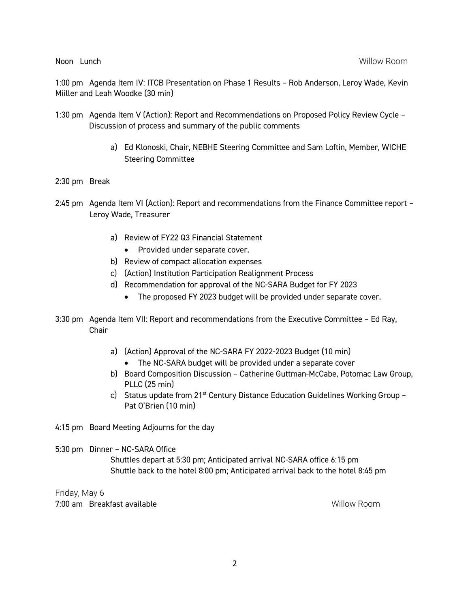Noon Lunch Willow Room

1:00 pm Agenda Item IV: ITCB Presentation on Phase 1 Results – Rob Anderson, Leroy Wade, Kevin Miiller and Leah Woodke (30 min)

- 1:30 pm Agenda Item V (Action): Report and Recommendations on Proposed Policy Review Cycle Discussion of process and summary of the public comments
	- a) Ed Klonoski, Chair, NEBHE Steering Committee and Sam Loftin, Member, WICHE Steering Committee
- 2:30 pm Break
- 2:45 pm Agenda Item VI (Action): Report and recommendations from the Finance Committee report Leroy Wade, Treasurer
	- a) Review of FY22 Q3 Financial Statement
		- Provided under separate cover.
	- b) Review of compact allocation expenses
	- c) (Action) Institution Participation Realignment Process
	- d) Recommendation for approval of the NC-SARA Budget for FY 2023
		- The proposed FY 2023 budget will be provided under separate cover.
- 3:30 pm Agenda Item VII: Report and recommendations from the Executive Committee Ed Ray, Chair
	- a) (Action) Approval of the NC-SARA FY 2022-2023 Budget (10 min)
		- The NC-SARA budget will be provided under a separate cover
	- b) Board Composition Discussion Catherine Guttman-McCabe, Potomac Law Group, PLLC (25 min)
	- c) Status update from  $21^{st}$  Century Distance Education Guidelines Working Group Pat O'Brien (10 min)

4:15 pm Board Meeting Adjourns for the day

5:30 pm Dinner – NC-SARA Office

Shuttles depart at 5:30 pm; Anticipated arrival NC-SARA office 6:15 pm Shuttle back to the hotel 8:00 pm; Anticipated arrival back to the hotel 8:45 pm

Friday, May 6 7:00 am Breakfast available Willow Room